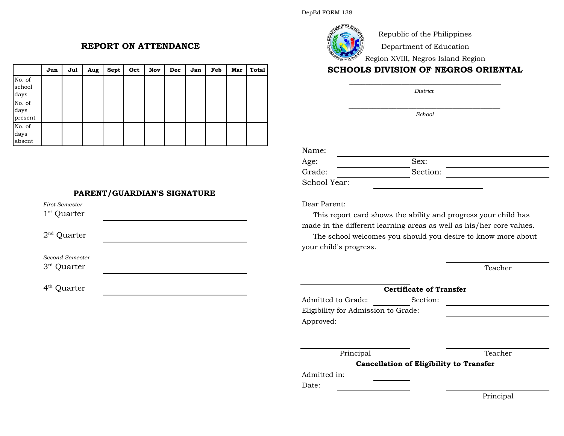Republic of the Philippines

Department of Education

Region XVIII, Negros Island Region

# **SCHOOLS DIVISION OF NEGROS ORIENTAL** \_\_\_\_\_\_\_\_\_\_\_\_\_\_\_\_\_\_\_\_\_\_\_\_\_\_\_\_\_\_\_\_\_\_\_\_\_\_

*\_\_\_\_\_\_\_\_\_\_\_\_\_\_\_\_\_\_\_\_\_\_\_\_\_\_\_\_\_\_\_\_\_\_\_\_\_\_ School*

Name:

| Age:         | Sex:     |  |
|--------------|----------|--|
| Grade:       | Section: |  |
| School Year: |          |  |

Dear Parent:

This report card shows the ability and progress your child has made in the different learning areas as well as his/her core values.

The school welcomes you should you desire to know more about your child's progress.

Teacher

### **Certificate of Transfer**

Admitted to Grade: Section: Eligibility for Admission to Grade: Approved:

Principal Teacher

**Cancellation of Eligibility to Transfer**

Admitted in:

Date:

**REPORT ON ATTENDANCE**

|                           | Jun | Jul | Aug | Sept | Oct | Nov | Dec | Jan | Feb | Mar | <b>Total</b> |
|---------------------------|-----|-----|-----|------|-----|-----|-----|-----|-----|-----|--------------|
| No. of<br>school<br>days  |     |     |     |      |     |     |     |     |     |     |              |
| No. of<br>days<br>present |     |     |     |      |     |     |     |     |     |     |              |
| No. of<br>days<br>absent  |     |     |     |      |     |     |     |     |     |     |              |

## **PARENT/GUARDIAN'S SIGNATURE**

 $1<sup>st</sup>$  Quarter  $2<sup>nd</sup>$  Quarter *Second Semester* 3 rd Quarter *First Semester*

4<sup>th</sup> Quarter

Principal